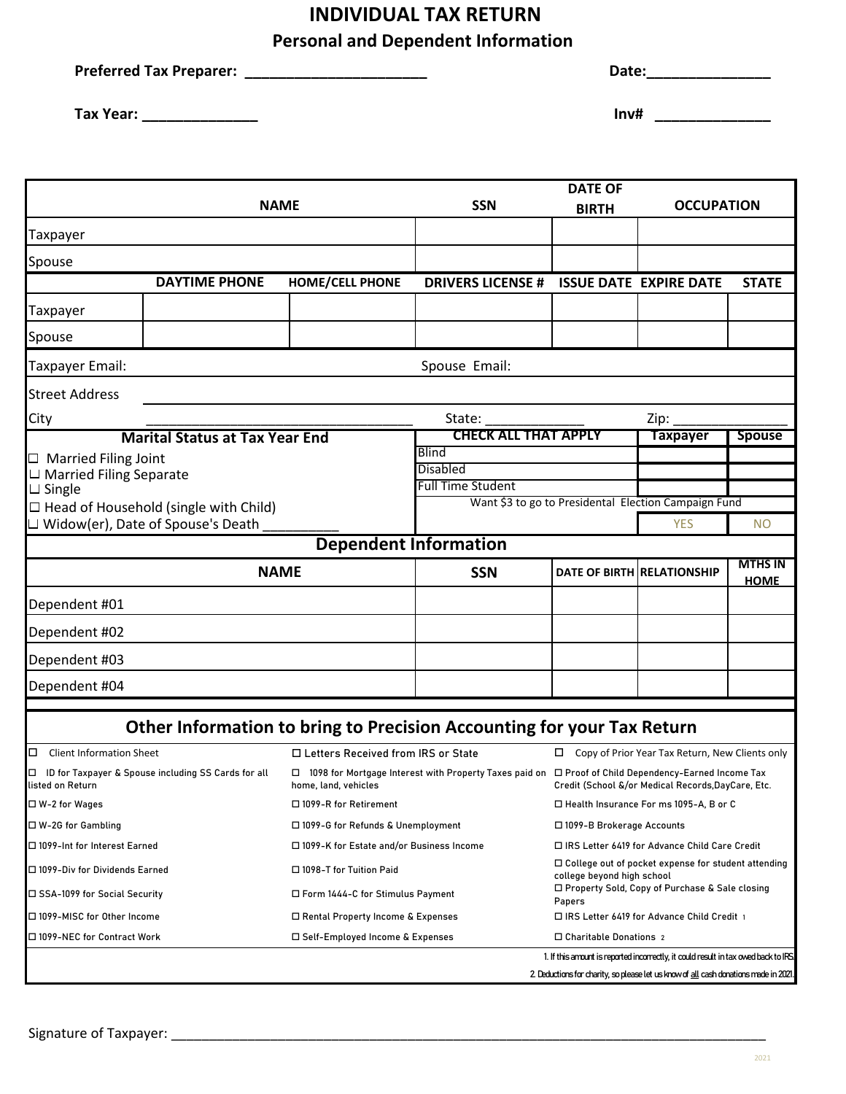## **INDIVIDUAL TAX RETURN**

**Personal and Dependent Information**

| <b>Preferred Tax Preparer:</b> | <b>Date:</b> |
|--------------------------------|--------------|
|--------------------------------|--------------|

**Tax Year: \_\_\_\_\_\_\_\_\_\_\_\_\_\_**

| Inv# |  |
|------|--|

| <b>NAME</b>                                                                              |                                       | <b>SSN</b>                                                                     | <b>DATE OF</b><br><b>BIRTH</b>                                         | <b>OCCUPATION</b>                                                                                   |                                                                                      |                               |  |
|------------------------------------------------------------------------------------------|---------------------------------------|--------------------------------------------------------------------------------|------------------------------------------------------------------------|-----------------------------------------------------------------------------------------------------|--------------------------------------------------------------------------------------|-------------------------------|--|
| Taxpayer                                                                                 |                                       |                                                                                |                                                                        |                                                                                                     |                                                                                      |                               |  |
| Spouse                                                                                   |                                       |                                                                                |                                                                        |                                                                                                     |                                                                                      |                               |  |
|                                                                                          | <b>DAYTIME PHONE</b>                  | <b>HOME/CELL PHONE</b>                                                         | <b>DRIVERS LICENSE #</b>                                               |                                                                                                     | <b>ISSUE DATE EXPIRE DATE</b>                                                        | <b>STATE</b>                  |  |
| Taxpayer                                                                                 |                                       |                                                                                |                                                                        |                                                                                                     |                                                                                      |                               |  |
| Spouse                                                                                   |                                       |                                                                                |                                                                        |                                                                                                     |                                                                                      |                               |  |
| Taxpayer Email:                                                                          |                                       |                                                                                | Spouse Email:                                                          |                                                                                                     |                                                                                      |                               |  |
| <b>Street Address</b>                                                                    |                                       |                                                                                |                                                                        |                                                                                                     |                                                                                      |                               |  |
| City                                                                                     |                                       |                                                                                | State:                                                                 |                                                                                                     | Zip:                                                                                 |                               |  |
|                                                                                          | <b>Marital Status at Tax Year End</b> |                                                                                | CHECK ALL THAT APPLY                                                   |                                                                                                     | <b>Taxpayer</b>                                                                      | <b>Spouse</b>                 |  |
| $\Box$ Married Filing Joint                                                              |                                       |                                                                                | <b>Blind</b>                                                           |                                                                                                     |                                                                                      |                               |  |
| $\Box$ Married Filing Separate                                                           |                                       |                                                                                | <b>Disabled</b><br><b>Full Time Student</b>                            |                                                                                                     |                                                                                      |                               |  |
| $\Box$ Single                                                                            |                                       |                                                                                |                                                                        |                                                                                                     | Want \$3 to go to Presidental Election Campaign Fund                                 |                               |  |
| $\Box$ Head of Household (single with Child)<br>$\Box$ Widow(er), Date of Spouse's Death |                                       |                                                                                |                                                                        |                                                                                                     | <b>YES</b>                                                                           | <b>NO</b>                     |  |
|                                                                                          | <b>Dependent Information</b>          |                                                                                |                                                                        |                                                                                                     |                                                                                      |                               |  |
|                                                                                          | <b>NAME</b>                           |                                                                                | <b>SSN</b>                                                             |                                                                                                     | DATE OF BIRTH RELATIONSHIP                                                           | <b>MTHS IN</b><br><b>HOME</b> |  |
| Dependent #01                                                                            |                                       |                                                                                |                                                                        |                                                                                                     |                                                                                      |                               |  |
| Dependent #02                                                                            |                                       |                                                                                |                                                                        |                                                                                                     |                                                                                      |                               |  |
| Dependent #03                                                                            |                                       |                                                                                |                                                                        |                                                                                                     |                                                                                      |                               |  |
| Dependent #04                                                                            |                                       |                                                                                |                                                                        |                                                                                                     |                                                                                      |                               |  |
|                                                                                          |                                       |                                                                                |                                                                        |                                                                                                     |                                                                                      |                               |  |
|                                                                                          |                                       |                                                                                | Other Information to bring to Precision Accounting for your Tax Return |                                                                                                     |                                                                                      |                               |  |
| <b>Client Information Sheet</b><br>□                                                     |                                       | □ Letters Received from IRS or State                                           |                                                                        | $\Box$ Copy of Prior Year Tax Return, New Clients only                                              |                                                                                      |                               |  |
| ID for Taxpayer & Spouse including SS Cards for all<br>listed on Return                  |                                       | 1098 for Mortgage Interest with Property Taxes paid on<br>home, land, vehicles |                                                                        | □ Proof of Child Dependency-Earned Income Tax<br>Credit (School &/or Medical Records, DayCare, Etc. |                                                                                      |                               |  |
| $\Box$ W-2 for Wages                                                                     |                                       | □ 1099-R for Retirement                                                        |                                                                        | $\Box$ Health Insurance For ms 1095-A, B or C                                                       |                                                                                      |                               |  |
| $\Box$ W-2G for Gambling                                                                 |                                       | $\Box$ 1099-G for Refunds & Unemployment                                       |                                                                        | $\Box$ 1099-B Brokerage Accounts                                                                    |                                                                                      |                               |  |
| □ 1099-Int for Interest Earned                                                           |                                       | □ 1099-K for Estate and/or Business Income                                     |                                                                        | □ IRS Letter 6419 for Advance Child Care Credit                                                     |                                                                                      |                               |  |
| □ 1099-Div for Dividends Earned                                                          |                                       | □ 1098-T for Tuition Paid                                                      |                                                                        | $\Box$ College out of pocket expense for student attending                                          |                                                                                      |                               |  |
| □ SSA-1099 for Social Security                                                           |                                       | $\Box$ Form 1444-C for Stimulus Payment                                        |                                                                        | college beyond high school<br>□ Property Sold, Copy of Purchase & Sale closing<br>Papers            |                                                                                      |                               |  |
| □ 1099-MISC for Other Income                                                             |                                       | □ Rental Property Income & Expenses                                            |                                                                        | □ IRS Letter 6419 for Advance Child Credit 1                                                        |                                                                                      |                               |  |
| □ 1099-NEC for Contract Work                                                             |                                       | $\Box$ Self-Employed Income & Expenses                                         |                                                                        | □ Charitable Donations 2                                                                            |                                                                                      |                               |  |
|                                                                                          |                                       |                                                                                |                                                                        |                                                                                                     | 1. If this amount is reported incorrectly, it could result in tax owed back to IRS.  |                               |  |
|                                                                                          |                                       |                                                                                |                                                                        |                                                                                                     | 2. Deductions for charity, so please let us know of all cash donations made in 2021. |                               |  |